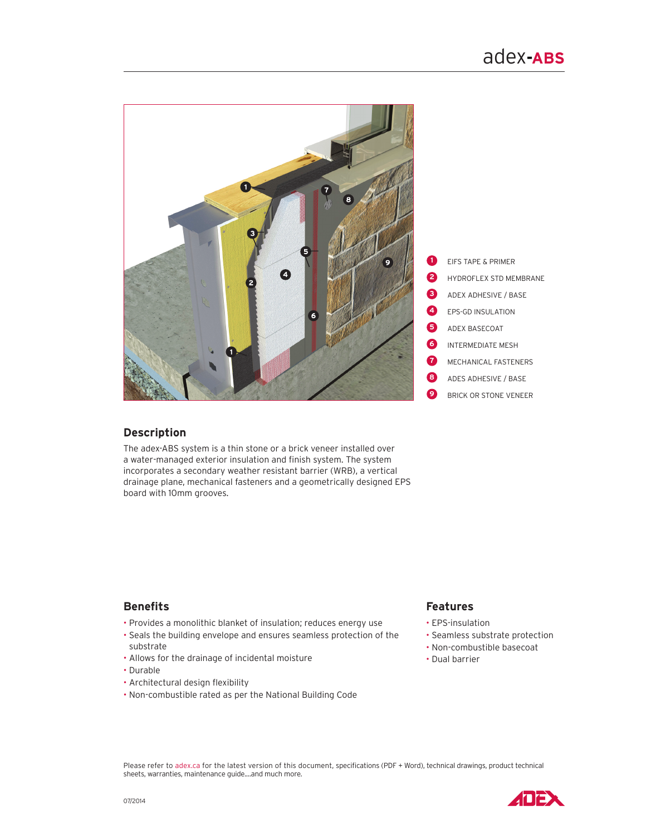

# **Description**

The adex-ABS system is a thin stone or a brick veneer installed over a water-managed exterior insulation and finish system. The system incorporates a secondary weather resistant barrier (WRB), a vertical drainage plane, mechanical fasteners and a geometrically designed EPS board with 10mm grooves.

# **Benefits**

- Provides a monolithic blanket of insulation; reduces energy use
- Seals the building envelope and ensures seamless protection of the substrate
- Allows for the drainage of incidental moisture
- Durable
- Architectural design flexibility
- Non-combustible rated as per the National Building Code

# **Features**

- EPS-insulation
- Seamless substrate protection
- Non-combustible basecoat
- Dual barrier

Please refer to adex.ca for the latest version of this document, specifications (PDF + Word), technical drawings, product technical sheets, warranties, maintenance guide....and much more.

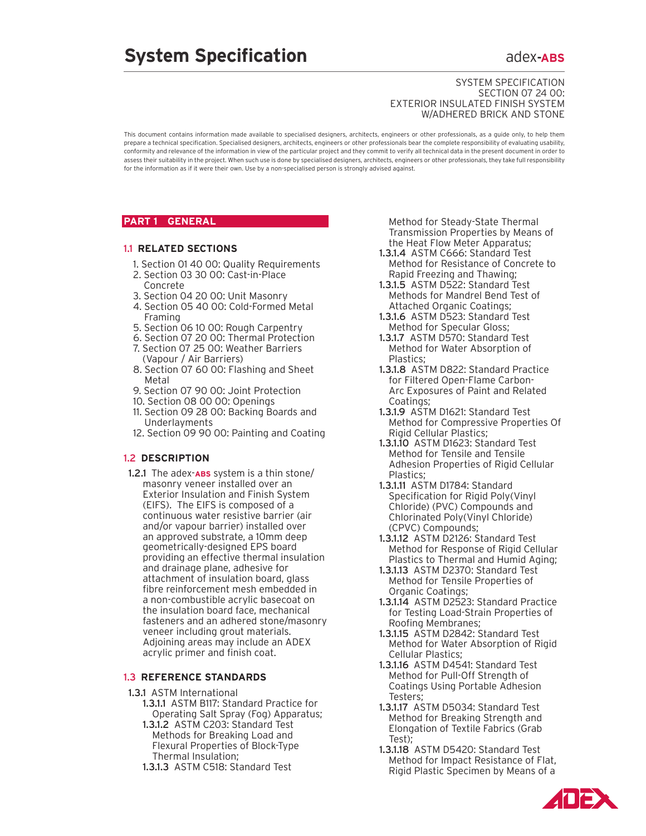# **System Specification adex-ABS**

#### SYSTEM SPECIFICATION Section 07 24 00: Exterior Insulated Finish System w/Adhered Brick and Stone

This document contains information made available to specialised designers, architects, engineers or other professionals, as a guide only, to help them prepare a technical specification. Specialised designers, architects, engineers or other professionals bear the complete responsibility of evaluating usability, conformity and relevance of the information in view of the particular project and they commit to verify all technical data in the present document in order to assess their suitability in the project. When such use is done by specialised designers, architects, engineers or other professionals, they take full responsibility for the information as if it were their own. Use by a non-specialised person is strongly advised against.

# **PART 1 GENERAL**

#### 1.1 **Related Sections**

- 1. Section 01 40 00: Quality Requirements
- 2. Section 03 30 00: Cast-in-Place Concrete
- 3. Section 04 20 00: Unit Masonry
- 4. Section 05 40 00: Cold-Formed Metal Framing
- 5. Section 06 10 00: Rough Carpentry
- 6. Section 07 20 00: Thermal Protection
- 7. Section 07 25 00: Weather Barriers (Vapour / Air Barriers)
- 8. Section 07 60 00: Flashing and Sheet Metal
- 9. Section 07 90 00: Joint Protection
- 10. Section 08 00 00: Openings
- 11. Section 09 28 00: Backing Boards and Underlayments
- 12. Section 09 90 00: Painting and Coating

#### 1.2 **DESCRIPTION**

1.2.1 The adex-**ABS** system is a thin stone/ masonry veneer installed over an Exterior Insulation and Finish System (EIFS). The EIFS is composed of a continuous water resistive barrier (air and/or vapour barrier) installed over an approved substrate, a 10mm deep geometrically-designed EPS board providing an effective thermal insulation and drainage plane, adhesive for attachment of insulation board, glass fibre reinforcement mesh embedded in a non-combustible acrylic basecoat on the insulation board face, mechanical fasteners and an adhered stone/masonry veneer including grout materials. Adjoining areas may include an ADEX acrylic primer and finish coat.

#### **1.3 REFERENCE STANDARDS**

- 1.3.1 ASTM International
	- 1.3.1.1 ASTM B117: Standard Practice for Operating Salt Spray (Fog) Apparatus;
	- 1.3.1.2 ASTM C203: Standard Test Methods for Breaking Load and Flexural Properties of Block-Type Thermal Insulation;
	- 1.3.1.3 ASTM C518: Standard Test

Method for Steady-State Thermal Transmission Properties by Means of the Heat Flow Meter Apparatus;

- 1.3.1.4 ASTM C666: Standard Test Method for Resistance of Concrete to Rapid Freezing and Thawing;
- 1.3.1.5 ASTM D522: Standard Test Methods for Mandrel Bend Test of Attached Organic Coatings;
- 1.3.1.6 ASTM D523: Standard Test Method for Specular Gloss;
- 1.3.1.7 ASTM D570: Standard Test Method for Water Absorption of Plastics;
- 1.3.1.8 ASTM D822: Standard Practice for Filtered Open-Flame Carbon-Arc Exposures of Paint and Related Coatings;
- 1.3.1.9 ASTM D1621: Standard Test Method for Compressive Properties Of Rigid Cellular Plastics;
- 1.3.1.10 ASTM D1623: Standard Test Method for Tensile and Tensile Adhesion Properties of Rigid Cellular Plastics;
- 1.3.1.11 ASTM D1784: Standard Specification for Rigid Poly(Vinyl Chloride) (PVC) Compounds and Chlorinated Poly(Vinyl Chloride) (CPVC) Compounds;
- 1.3.1.12 ASTM D2126: Standard Test Method for Response of Rigid Cellular Plastics to Thermal and Humid Aging;
- 1.3.1.13 ASTM D2370: Standard Test Method for Tensile Properties of Organic Coatings;
- 1.3.1.14 ASTM D2523: Standard Practice for Testing Load-Strain Properties of Roofing Membranes;
- 1.3.1.15 ASTM D2842: Standard Test Method for Water Absorption of Rigid Cellular Plastics;
- 1.3.1.16 ASTM D4541: Standard Test Method for Pull-Off Strength of Coatings Using Portable Adhesion Testers;
- 1.3.1.17 ASTM D5034: Standard Test Method for Breaking Strength and Elongation of Textile Fabrics (Grab Test);
- 1.3.1.18 ASTM D5420: Standard Test Method for Impact Resistance of Flat, Rigid Plastic Specimen by Means of a

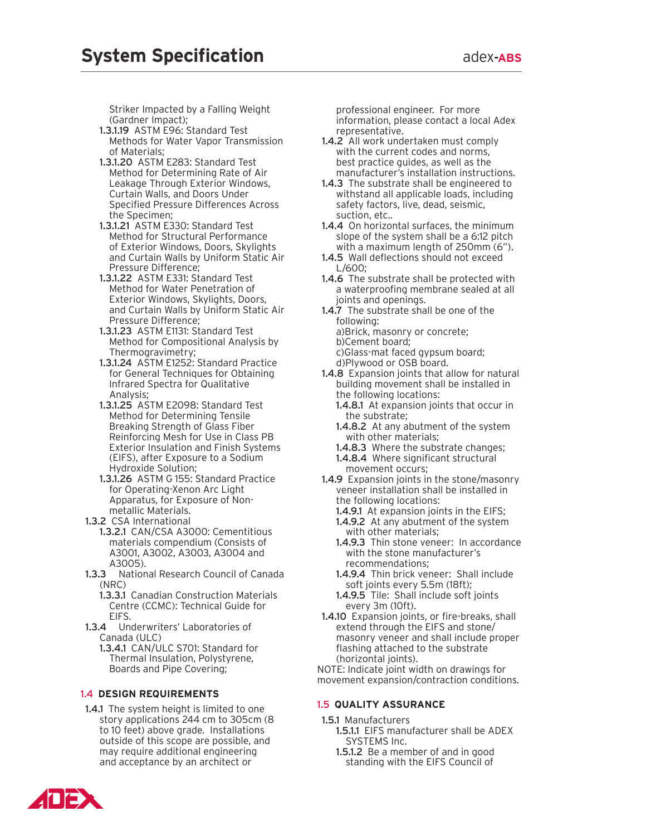Striker Impacted by a Falling Weight (Gardner Impact);

- 1.3.1.19 ASTM E96: Standard Test Methods for Water Vapor Transmission of Materials;
- 1.3.1.20 ASTM E283: Standard Test Method for Determining Rate of Air Leakage Through Exterior Windows, Curtain Walls, and Doors Under Specified Pressure Differences Across the Specimen;
- 1.3.1.21 ASTM E330: Standard Test Method for Structural Performance of Exterior Windows, Doors, Skylights and Curtain Walls by Uniform Static Air Pressure Difference;
- 1.3.1.22 ASTM E331: Standard Test Method for Water Penetration of Exterior Windows, Skylights, Doors, and Curtain Walls by Uniform Static Air Pressure Difference;
- 1.3.1.23 ASTM E1131: Standard Test Method for Compositional Analysis by Thermogravimetry;
- 1.3.1.24 ASTM E1252: Standard Practice for General Techniques for Obtaining Infrared Spectra for Qualitative Analysis;
- 1.3.1.25 ASTM E2098: Standard Test Method for Determining Tensile Breaking Strength of Glass Fiber Reinforcing Mesh for Use in Class PB Exterior Insulation and Finish Systems (EIFS), after Exposure to a Sodium Hydroxide Solution;
- 1.3.1.26 ASTM G 155: Standard Practice for Operating-Xenon Arc Light Apparatus, for Exposure of Nonmetallic Materials.
- 1.3.2 CSA International
	- 1.3.2.1 CAN/CSA A3000: Cementitious materials compendium (Consists of A3001, A3002, A3003, A3004 and A3005).
- 1.3.3 National Research Council of Canada (NRC)
	- 1.3.3.1 Canadian Construction Materials Centre (CCMC): Technical Guide for EIFS.
- 1.3.4 Underwriters' Laboratories of Canada (ULC)
	- 1.3.4.1 CAN/ULC S701: Standard for Thermal Insulation, Polystyrene, Boards and Pipe Covering;

# 1.4 **Des ign Requirements**

1.4.1 The system height is limited to one story applications 244 cm to 305cm (8 to 10 feet) above grade. Installations outside of this scope are possible, and may require additional engineering and acceptance by an architect or

professional engineer. For more information, please contact a local Adex representative.

- 1.4.2 All work undertaken must comply with the current codes and norms, best practice guides, as well as the manufacturer's installation instructions.
- 1.4.3 The substrate shall be engineered to withstand all applicable loads, including safety factors, live, dead, seismic, suction, etc..
- 1.4.4 On horizontal surfaces, the minimum slope of the system shall be a 6:12 pitch with a maximum length of 250mm (6").
- 1.4.5 Wall deflections should not exceed L/600;
- 1.4.6 The substrate shall be protected with a waterproofing membrane sealed at all joints and openings.
- 1.4.7 The substrate shall be one of the following: a)Brick, masonry or concrete; b)Cement board; c)Glass-mat faced gypsum board; d)Plywood or OSB board.
- 1.4.8 Expansion joints that allow for natural building movement shall be installed in the following locations:
	- 1.4.8.1 At expansion joints that occur in the substrate;
	- 1.4.8.2 At any abutment of the system with other materials;
	- 1.4.8.3 Where the substrate changes;
	- 1.4.8.4 Where significant structural movement occurs;
- 1.4.9 Expansion joints in the stone/masonry veneer installation shall be installed in the following locations:
	- 1.4.9.1 At expansion joints in the EIFS;
	- 1.4.9.2 At any abutment of the system with other materials;
	- 1.4.9.3 Thin stone veneer: In accordance with the stone manufacturer's recommendations;
	- 1.4.9.4 Thin brick veneer: Shall include soft joints every 5.5m (18ft);
	- 1.4.9.5 Tile: Shall include soft joints every 3m (10ft).
- 1.4.10 Expansion joints, or fire-breaks, shall extend through the EIFS and stone/ masonry veneer and shall include proper flashing attached to the substrate (horizontal joints).

NOTE: Indicate joint width on drawings for movement expansion/contraction conditions.

# **1.5 QUALITY ASSURANCE**

- 1.5.1 Manufacturers
	- 1.5.1.1 EIFS manufacturer shall be ADEX SYSTEMS Inc.
	- 1.5.1.2 Be a member of and in good standing with the EIFS Council of

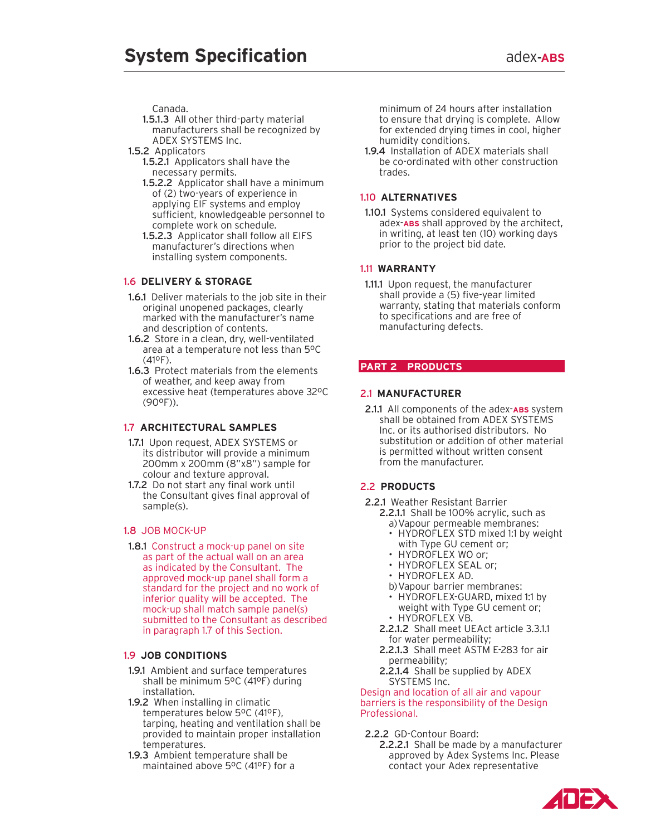Canada.

- 1.5.1.3 All other third-party material manufacturers shall be recognized by ADEX SYSTEMS Inc.
- 1.5.2 Applicators
	- 1.5.2.1 Applicators shall have the necessary permits.
	- 1.5.2.2 Applicator shall have a minimum of (2) two-years of experience in applying EIF systems and employ sufficient, knowledgeable personnel to complete work on schedule.
	- 1.5.2.3 Applicator shall follow all EIFS manufacturer's directions when installing system components.

# 1.6 **Delivery & Storage**

- 1.6.1 Deliver materials to the job site in their original unopened packages, clearly marked with the manufacturer's name and description of contents.
- 1.6.2 Store in a clean, dry, well-ventilated area at a temperature not less than 5ºC (41ºF).
- 1.6.3 Protect materials from the elements of weather, and keep away from excessive heat (temperatures above 32ºC  $(90^{\circ}F)$ ).

# 1.7 **Architectural Samples**

- 1.7.1 Upon request, ADEX SYSTEMS or its distributor will provide a minimum 200mm x 200mm (8"x8") sample for colour and texture approval.
- 1.7.2 Do not start any final work until the Consultant gives final approval of sample(s).

# 1.8 Job Mock-Up

1.8.1 Construct a mock-up panel on site as part of the actual wall on an area as indicated by the Consultant. The approved mock-up panel shall form a standard for the project and no work of inferior quality will be accepted. The mock-up shall match sample panel(s) submitted to the Consultant as described in paragraph 1.7 of this Section.

# 1.9 **Job Conditions**

- 1.9.1 Ambient and surface temperatures shall be minimum 5ºC (41ºF) during installation.
- 1.9.2 When installing in climatic temperatures below 5ºC (41ºF), tarping, heating and ventilation shall be provided to maintain proper installation temperatures.
- 1.9.3 Ambient temperature shall be maintained above 5ºC (41ºF) for a

minimum of 24 hours after installation to ensure that drying is complete. Allow for extended drying times in cool, higher humidity conditions.

1.9.4 Installation of ADEX materials shall be co-ordinated with other construction trades.

# 1.10 **Alternatives**

1.10.1 Systems considered equivalent to adex-**ABS** shall approved by the architect, in writing, at least ten (10) working days prior to the project bid date.

# 1.11 **Warrant y**

1.11.1 Upon request, the manufacturer shall provide a (5) five-year limited warranty, stating that materials conform to specifications and are free of manufacturing defects.

# **PART 2 products**

# 2.1 **Manufacturer**

2.1.1 All components of the adex-**ABS** system shall be obtained from ADEX SYSTEMS Inc. or its authorised distributors. No substitution or addition of other material is permitted without written consent from the manufacturer.

# 2.2 **Products**

- 2.2.1 Weather Resistant Barrier 2.2.1.1 Shall be 100% acrylic, such as
	- a)Vapour permeable membranes:
	- HYDROFLEX STD mixed 1:1 by weight with Type GU cement or;
	- HYDROFLEX WO or:
	- HYDROFLEX SEAL or;
	- HYDROFLEX AD.
	- b)Vapour barrier membranes:
	- HYDROFLEX-GUARD, mixed 1:1 by weight with Type GU cement or;
	- HYDROFLEX VB.
	- 2.2.1.2 Shall meet UEAct article 3.3.1.1 for water permeability;
	- 2.2.1.3 Shall meet ASTM E-283 for air permeability;
	- 2.2.1.4 Shall be supplied by ADEX SYSTEMS Inc.

Design and location of all air and vapour barriers is the responsibility of the Design Professional.

#### 2.2.2 GD-Contour Board:

2.2.2.1 Shall be made by a manufacturer approved by Adex Systems Inc. Please contact your Adex representative

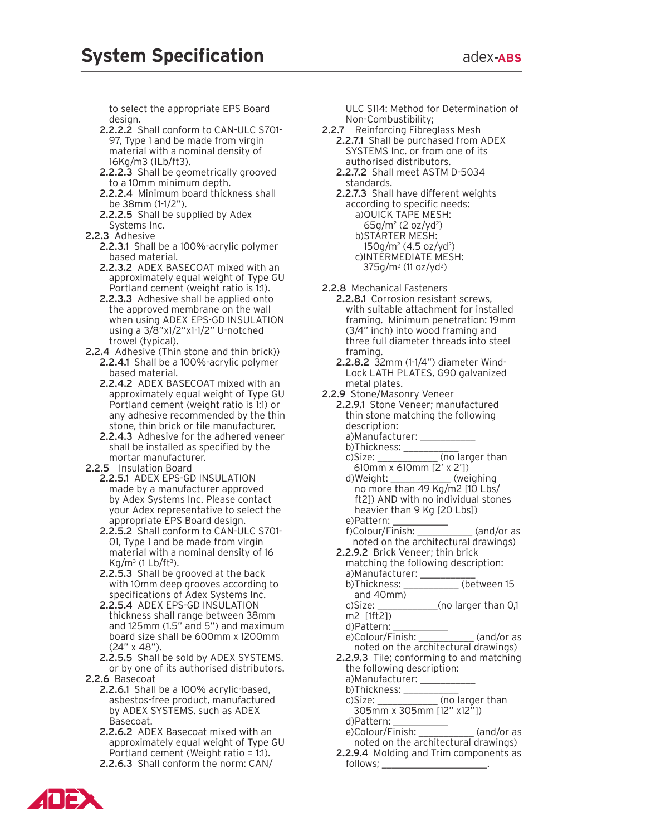to select the appropriate EPS Board design.

- 2.2.2.2 Shall conform to CAN-ULC S701- 97, Type 1 and be made from virgin material with a nominal density of 16Kg/m3 (1Lb/ft3).
- 2.2.2.3 Shall be geometrically grooved to a 10mm minimum depth.
- 2.2.2.4 Minimum board thickness shall be 38mm (1-1/2").
- 2.2.2.5 Shall be supplied by Adex Systems Inc.
- 2.2.3 Adhesive
	- 2.2.3.1 Shall be a 100%-acrylic polymer based material.
	- 2.2.3.2 ADEX BASECOAT mixed with an approximately equal weight of Type GU Portland cement (weight ratio is 1:1).
	- 2.2.3.3 Adhesive shall be applied onto the approved membrane on the wall when using ADEX EPS-GD INSULATION using a 3/8"x1/2"x1-1/2" U-notched trowel (typical).
- 2.2.4 Adhesive (Thin stone and thin brick)) 2.2.4.1 Shall be a 100%-acrylic polymer based material.
	- 2.2.4.2 ADEX BASECOAT mixed with an approximately equal weight of Type GU Portland cement (weight ratio is 1:1) or any adhesive recommended by the thin stone, thin brick or tile manufacturer.
	- 2.2.4.3 Adhesive for the adhered veneer shall be installed as specified by the mortar manufacturer.
- 2.2.5 Insulation Board
	- 2.2.5.1 ADEX EPS-GD INSULATION made by a manufacturer approved by Adex Systems Inc. Please contact your Adex representative to select the appropriate EPS Board design.
	- 2.2.5.2 Shall conform to CAN-ULC S701- 01, Type 1 and be made from virgin material with a nominal density of 16  $Kg/m^3$  (1 Lb/ft<sup>3</sup>).
	- 2.2.5.3 Shall be grooved at the back with 10mm deep grooves according to specifications of Adex Systems Inc.
	- 2.2.5.4 ADEX EPS-GD INSULATION thickness shall range between 38mm and 125mm (1.5" and 5") and maximum board size shall be 600mm x 1200mm (24" x 48").
- 2.2.5.5 Shall be sold by ADEX SYSTEMS. or by one of its authorised distributors. 2.2.6 Basecoat
	- 2.2.6.1 Shall be a 100% acrylic-based, asbestos-free product, manufactured by ADEX SYSTEMS. such as ADEX Basecoat.
	- 2.2.6.2 ADEX Basecoat mixed with an approximately equal weight of Type GU Portland cement (Weight ratio = 1:1).
	- 2.2.6.3 Shall conform the norm: CAN/

ULC S114: Method for Determination of Non-Combustibility;

- 2.2.7 Reinforcing Fibreglass Mesh
	- 2.2.7.1 Shall be purchased from ADEX SYSTEMS Inc. or from one of its authorised distributors.
	- 2.2.7.2 Shall meet ASTM D-5034 standards.
	- 2.2.7.3 Shall have different weights according to specific needs: a)QUICK TAPE MESH:  $65g/m^2$  (2 oz/yd<sup>2</sup>) b)STARTER MESH: 150g/m2 (4.5 oz/yd2 ) c)INTERMEDIATE MESH: 375g/m2 (11 oz/yd2 )

2.2.8 Mechanical Fasteners

- 2.2.8.1 Corrosion resistant screws, with suitable attachment for installed framing. Minimum penetration: 19mm (3/4" inch) into wood framing and three full diameter threads into steel framing.
- 2.2.8.2 32mm (1-1/4") diameter Wind-Lock LATH PLATES, G90 galvanized metal plates.
- 2.2.9 Stone/Masonry Veneer
- 2.2.9.1 Stone Veneer; manufactured thin stone matching the following description:
	- a)Manufacturer: \_\_\_\_\_
	- b)Thickness: \_\_\_\_\_\_\_\_\_\_\_ c)Size: \_\_\_\_\_\_\_\_\_\_\_\_\_ (no larger than 610mm x 610mm [2' x 2'])
	- d) Weight: \_\_\_\_\_\_\_\_\_\_\_\_ (weighing no more than 49 Kg/m2 [10 Lbs/ ft2]) AND with no individual stones heavier than 9 Kg [20 Lbs]) e)Pattern:
	-
	- f)Colour/Finish: \_\_\_\_\_\_\_\_\_\_\_ (and/or as noted on the architectural drawings)
	- 2.2.9.2 Brick Veneer; thin brick matching the following description: a)Manufacturer: \_\_\_\_
		- b)Thickness: \_\_\_\_\_\_\_\_\_\_\_ (between 15 and 40mm)
		- c)Size: \_\_\_\_\_\_\_\_\_\_\_\_(no larger than 0,1 m2 [1ft2])
		- d)Pattern: \_\_\_\_\_\_\_\_\_\_\_
		- e)Colour/Finish: \_\_\_\_\_\_\_\_\_\_\_ (and/or as noted on the architectural drawings)
	- 2.2.9.3 Tile; conforming to and matching the following description:
		- a)Manufacturer:
		- b)Thickness: \_\_\_\_\_\_\_\_\_\_\_
		- c)Size: \_\_\_\_\_\_\_\_\_\_\_\_ (no larger than 305mm x 305mm [12" x12"]) d)Pattern: \_\_\_\_\_\_\_\_\_\_\_
		- e)Colour/Finish: \_\_\_\_\_\_\_\_\_\_\_ (and/or as noted on the architectural drawings)
	- 2.2.9.4 Molding and Trim components as follows; \_\_\_\_\_\_\_\_\_\_\_\_\_\_\_\_\_\_\_\_\_.

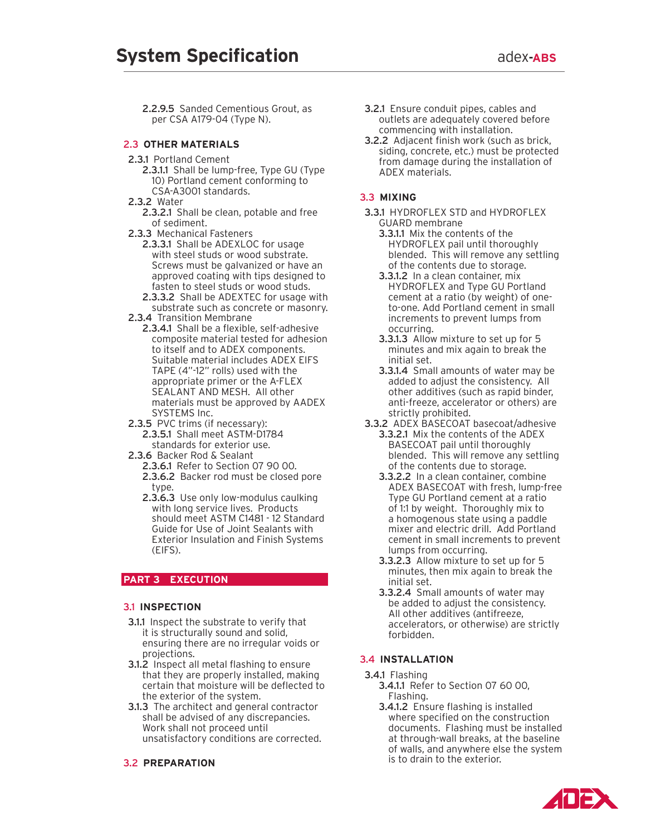2.2.9.5 Sanded Cementious Grout, as per CSA A179-04 (Type N).

#### **2.3 OTHER MATERIALS**

- 2.3.1 Portland Cement
	- 2.3.1.1 Shall be lump-free, Type GU (Type 10) Portland cement conforming to CSA-A3001 standards.
- 2.3.2 Water
	- 2.3.2.1 Shall be clean, potable and free of sediment.
- 2.3.3 Mechanical Fasteners
	- 2.3.3.1 Shall be ADEXLOC for usage with steel studs or wood substrate. Screws must be galvanized or have an approved coating with tips designed to fasten to steel studs or wood studs.
	- 2.3.3.2 Shall be ADEXTEC for usage with substrate such as concrete or masonry.
- 2.3.4 Transition Membrane
- 2.3.4.1 Shall be a flexible, self-adhesive composite material tested for adhesion to itself and to ADEX components. Suitable material includes ADEX EIFS TAPE (4"-12" rolls) used with the appropriate primer or the A-FLEX SEALANT AND MESH. All other materials must be approved by AADEX SYSTEMS Inc.
- 2.3.5 PVC trims (if necessary): 2.3.5.1 Shall meet ASTM-D1784 standards for exterior use.
- 2.3.6 Backer Rod & Sealant
	- 2.3.6.1 Refer to Section 07 90 00.
	- 2.3.6.2 Backer rod must be closed pore type.
	- 2.3.6.3 Use only low-modulus caulking with long service lives. Products should meet ASTM C1481 - 12 Standard Guide for Use of Joint Sealants with Exterior Insulation and Finish Systems (EIFS).

# **PART 3 EXECUTION**

#### 3.1 **Inspection**

- **3.1.1** Inspect the substrate to verify that it is structurally sound and solid, ensuring there are no irregular voids or projections.
- 3.1.2 Inspect all metal flashing to ensure that they are properly installed, making certain that moisture will be deflected to the exterior of the system.
- **3.1.3** The architect and general contractor shall be advised of any discrepancies. Work shall not proceed until unsatisfactory conditions are corrected.

#### 3.2 **Preparation**

- 3.2.1 Ensure conduit pipes, cables and outlets are adequately covered before commencing with installation.
- 3.2.2 Adjacent finish work (such as brick, siding, concrete, etc.) must be protected from damage during the installation of ADEX materials.

#### 3.3 **Mixing**

- 3.3.1 HYDROFLEX STD and HYDROFLEX GUARD membrane
	- 3.3.1.1 Mix the contents of the HYDROFLEX pail until thoroughly blended. This will remove any settling of the contents due to storage.
	- 3.3.1.2 In a clean container, mix HYDROFLEX and Type GU Portland cement at a ratio (by weight) of oneto-one. Add Portland cement in small increments to prevent lumps from occurring.
	- 3.3.1.3 Allow mixture to set up for 5 minutes and mix again to break the initial set.
	- 3.3.1.4 Small amounts of water may be added to adjust the consistency. All other additives (such as rapid binder, anti-freeze, accelerator or others) are strictly prohibited.
- 3.3.2 ADEX BASECOAT basecoat/adhesive 3.3.2.1 Mix the contents of the ADEX BASECOAT pail until thoroughly blended. This will remove any settling of the contents due to storage.
	- 3.3.2.2 In a clean container, combine ADEX BASECOAT with fresh, lump-free Type GU Portland cement at a ratio of 1:1 by weight. Thoroughly mix to a homogenous state using a paddle mixer and electric drill. Add Portland cement in small increments to prevent lumps from occurring.
	- 3.3.2.3 Allow mixture to set up for 5 minutes, then mix again to break the initial set.
	- 3.3.2.4 Small amounts of water may be added to adjust the consistency. All other additives (antifreeze, accelerators, or otherwise) are strictly forbidden.

#### 3.4 **Installat ion**

- 3.4.1 Flashing
	- 3.4.1.1 Refer to Section 07 60 00, Flashing.
	- 3.4.1.2 Ensure flashing is installed where specified on the construction documents. Flashing must be installed at through-wall breaks, at the baseline of walls, and anywhere else the system is to drain to the exterior.

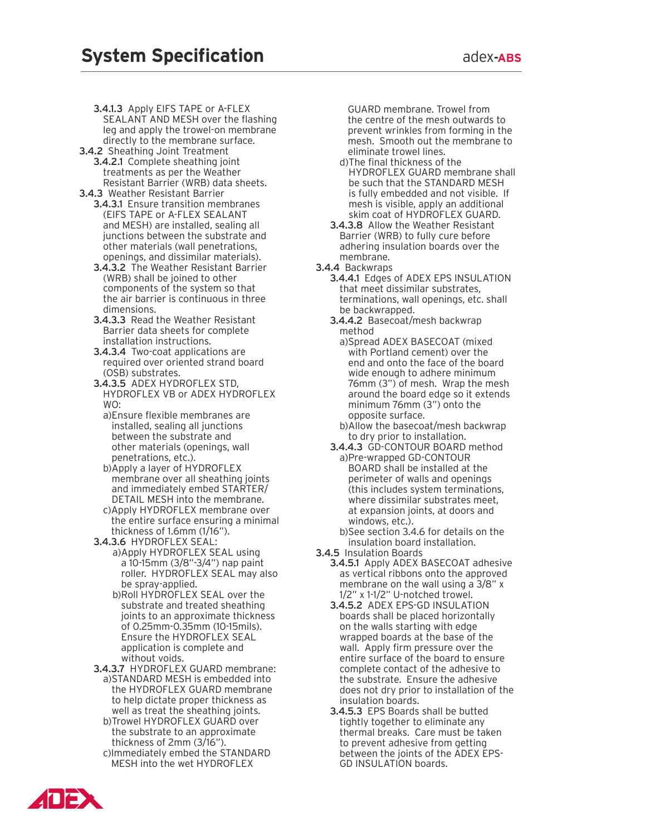3.4.1.3 Apply EIFS TAPE or A-FLEX SEALANT AND MESH over the flashing leg and apply the trowel-on membrane directly to the membrane surface.

- 3.4.2 Sheathing Joint Treatment 3.4.2.1 Complete sheathing joint treatments as per the Weather Resistant Barrier (WRB) data sheets.
- 3.4.3 Weather Resistant Barrier 3.4.3.1 Ensure transition membranes (EIFS TAPE or A-FLEX SEALANT and MESH) are installed, sealing all junctions between the substrate and other materials (wall penetrations, openings, and dissimilar materials).
	- 3.4.3.2 The Weather Resistant Barrier (WRB) shall be joined to other components of the system so that the air barrier is continuous in three dimensions.
	- 3.4.3.3 Read the Weather Resistant Barrier data sheets for complete installation instructions.
	- 3.4.3.4 Two-coat applications are required over oriented strand board (OSB) substrates.
	- 3.4.3.5 ADEX HYDROFLEX STD, HYDROFLEX VB or ADEX HYDROFLEX WO:
		- a)Ensure flexible membranes are installed, sealing all junctions between the substrate and other materials (openings, wall penetrations, etc.).
		- b)Apply a layer of HYDROFLEX membrane over all sheathing joints and immediately embed STARTER/ DETAIL MESH into the membrane.
		- c)Apply HYDROFLEX membrane over the entire surface ensuring a minimal thickness of 1.6mm (1/16").
	- 3.4.3.6 HYDROFLEX SEAL: a)Apply HYDROFLEX SEAL using a 10-15mm (3/8"-3/4") nap paint roller. HYDROFLEX SEAL may also be spray-applied.
		- b) Roll HYDROFLEX SEAL over the substrate and treated sheathing joints to an approximate thickness of 0.25mm-0.35mm (10-15mils). Ensure the HYDROFLEX SEAL application is complete and without voids.
	- 3.4.3.7 HYDROFLEX GUARD membrane: a)STANDARD MESH is embedded into the HYDROFLEX GUARD membrane to help dictate proper thickness as well as treat the sheathing joints. b)Trowel HYDROFLEX GUARD over the substrate to an approximate thickness of 2mm (3/16").
		- c)Immediately embed the STANDARD MESH into the wet HYDROFLEX

GUARD membrane. Trowel from the centre of the mesh outwards to prevent wrinkles from forming in the mesh. Smooth out the membrane to eliminate trowel lines.

- d)The final thickness of the HYDROFLEX GUARD membrane shall be such that the STANDARD MESH is fully embedded and not visible. If mesh is visible, apply an additional skim coat of HYDROFLEX GUARD.
- 3.4.3.8 Allow the Weather Resistant Barrier (WRB) to fully cure before adhering insulation boards over the membrane.
- 3.4.4 Backwraps
	- 3.4.4.1 Edges of ADEX EPS INSULATION that meet dissimilar substrates, terminations, wall openings, etc. shall be backwrapped.
	- 3.4.4.2 Basecoat/mesh backwrap method
		- a)Spread ADEX BASECOAT (mixed with Portland cement) over the end and onto the face of the board wide enough to adhere minimum 76mm (3") of mesh. Wrap the mesh around the board edge so it extends minimum 76mm (3") onto the opposite surface.
		- b)Allow the basecoat/mesh backwrap to dry prior to installation.
	- 3.4.4.3 GD-CONTOUR BOARD method a)Pre-wrapped GD-CONTOUR BOARD shall be installed at the perimeter of walls and openings (this includes system terminations, where dissimilar substrates meet, at expansion joints, at doors and windows, etc.).
		- b)See section 3.4.6 for details on the insulation board installation.
- 3.4.5 Insulation Boards
	- 3.4.5.1 Apply ADEX BASECOAT adhesive as vertical ribbons onto the approved membrane on the wall using a 3/8" x 1/2" x 1-1/2" U-notched trowel.
	- 3.4.5.2 ADEX EPS-GD INSULATION boards shall be placed horizontally on the walls starting with edge wrapped boards at the base of the wall. Apply firm pressure over the entire surface of the board to ensure complete contact of the adhesive to the substrate. Ensure the adhesive does not dry prior to installation of the insulation boards.
	- 3.4.5.3 EPS Boards shall be butted tightly together to eliminate any thermal breaks. Care must be taken to prevent adhesive from getting between the joints of the ADEX EPS-GD INSULATION boards.

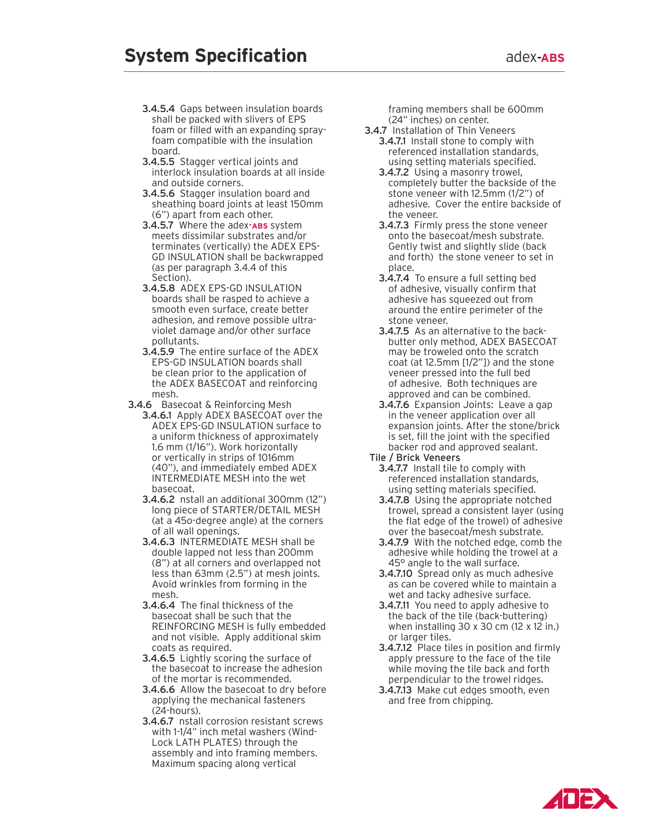- 3.4.5.4 Gaps between insulation boards shall be packed with slivers of EPS foam or filled with an expanding sprayfoam compatible with the insulation board.
- 3.4.5.5 Stagger vertical joints and interlock insulation boards at all inside and outside corners.
- 3.4.5.6 Stagger insulation board and sheathing board joints at least 150mm (6") apart from each other.
- 3.4.5.7 Where the adex-**ABS** system meets dissimilar substrates and/or terminates (vertically) the ADEX EPS-GD INSULATION shall be backwrapped (as per paragraph 3.4.4 of this Section).
- 3.4.5.8 ADEX EPS-GD INSULATION boards shall be rasped to achieve a smooth even surface, create better adhesion, and remove possible ultraviolet damage and/or other surface pollutants.
- 3.4.5.9 The entire surface of the ADEX EPS-GD INSULATION boards shall be clean prior to the application of the ADEX BASECOAT and reinforcing mesh.
- 3.4.6 Basecoat & Reinforcing Mesh
	- 3.4.6.1 Apply ADEX BASECOAT over the ADEX EPS-GD INSULATION surface to a uniform thickness of approximately 1.6 mm (1/16"). Work horizontally or vertically in strips of 1016mm (40"), and immediately embed ADEX INTERMEDIATE MESH into the wet basecoat.
	- 3.4.6.2 nstall an additional 300mm (12") long piece of STARTER/DETAIL MESH (at a 45o-degree angle) at the corners of all wall openings.
	- 3.4.6.3 INTERMEDIATE MESH shall be double lapped not less than 200mm (8") at all corners and overlapped not less than 63mm (2.5") at mesh joints. Avoid wrinkles from forming in the mesh.
	- 3.4.6.4 The final thickness of the basecoat shall be such that the REINFORCING MESH is fully embedded and not visible. Apply additional skim coats as required.
	- 3.4.6.5 Lightly scoring the surface of the basecoat to increase the adhesion of the mortar is recommended.
	- 3.4.6.6 Allow the basecoat to dry before applying the mechanical fasteners (24-hours).
	- 3.4.6.7 nstall corrosion resistant screws with 1-1/4" inch metal washers (Wind-Lock LATH PLATES) through the assembly and into framing members. Maximum spacing along vertical

framing members shall be 600mm (24" inches) on center.

- 3.4.7 Installation of Thin Veneers 3.4.7.1 Install stone to comply with referenced installation standards, using setting materials specified.
	- 3.4.7.2 Using a masonry trowel, completely butter the backside of the stone veneer with 12.5mm (1/2") of adhesive. Cover the entire backside of the veneer.
	- 3.4.7.3 Firmly press the stone veneer onto the basecoat/mesh substrate. Gently twist and slightly slide (back and forth) the stone veneer to set in place.
	- 3.4.7.4 To ensure a full setting bed of adhesive, visually confirm that adhesive has squeezed out from around the entire perimeter of the stone veneer.
	- 3.4.7.5 As an alternative to the backbutter only method, ADEX BASECOAT may be troweled onto the scratch coat (at 12.5mm [1/2"]) and the stone veneer pressed into the full bed of adhesive. Both techniques are approved and can be combined.
	- 3.4.7.6 Expansion Joints: Leave a gap in the veneer application over all expansion joints. After the stone/brick is set, fill the joint with the specified backer rod and approved sealant.
- Tile / Brick Veneers
	- 3.4.7.7 Install tile to comply with referenced installation standards, using setting materials specified.
	- 3.4.7.8 Using the appropriate notched trowel, spread a consistent layer (using the flat edge of the trowel) of adhesive over the basecoat/mesh substrate.
	- 3.4.7.9 With the notched edge, comb the adhesive while holding the trowel at a 45° angle to the wall surface.
	- **3.4.7.10** Spread only as much adhesive as can be covered while to maintain a wet and tacky adhesive surface.
	- 3.4.7.11 You need to apply adhesive to the back of the tile (back-buttering) when installing 30 x 30 cm (12 x 12 in.) or larger tiles.
	- 3.4.7.12 Place tiles in position and firmly apply pressure to the face of the tile while moving the tile back and forth perpendicular to the trowel ridges.
	- 3.4.7.13 Make cut edges smooth, even and free from chipping.